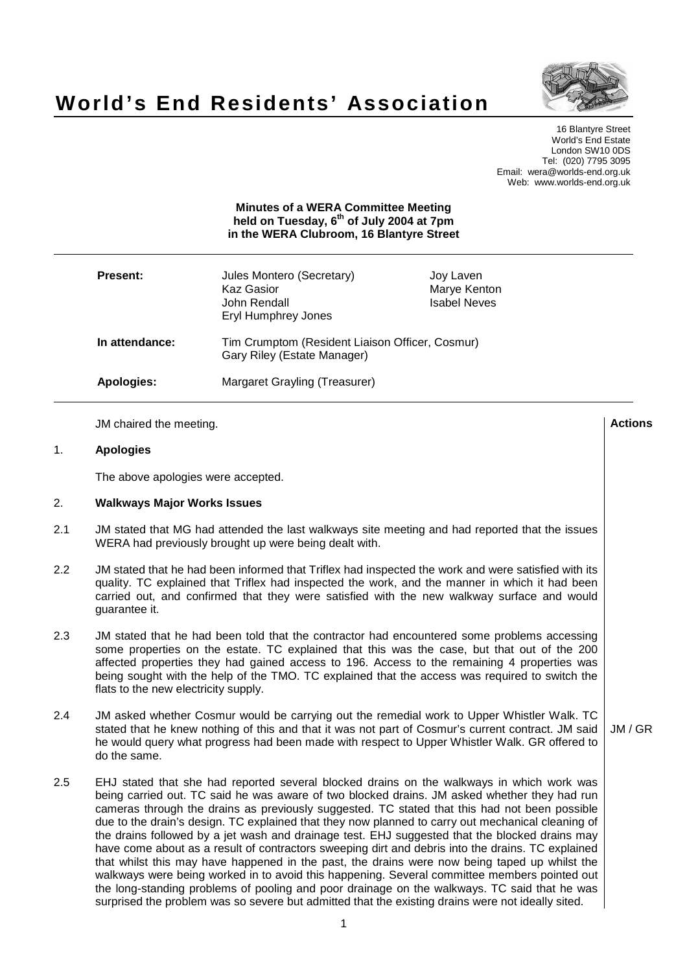

# **World's End Residents' Association**

16 Blantyre Street World's End Estate London SW10 0DS Tel: (020) 7795 3095 Email: wera@worlds-end.org.uk Web: www.worlds-end.org.uk

## **Minutes of a WERA Committee Meeting held on Tuesday, 6 th of July 2004 at 7pm in the WERA Clubroom, 16 Blantyre Street**

| <b>Present:</b> | Jules Montero (Secretary)<br>Kaz Gasior<br>John Rendall<br>Eryl Humphrey Jones | Joy Laven<br>Marye Kenton<br><b>Isabel Neves</b> |  |
|-----------------|--------------------------------------------------------------------------------|--------------------------------------------------|--|
| In attendance:  | Tim Crumptom (Resident Liaison Officer, Cosmur)<br>Gary Riley (Estate Manager) |                                                  |  |
| Apologies:      | Margaret Grayling (Treasurer)                                                  |                                                  |  |

|                | JM chaired the meeting.                                                                                                                                                                                                                                                                                                                                                                                                                                                                                                                                                                                                                                                                                                                                                                                                                                                                                                                                                                                      | <b>Actions</b> |
|----------------|--------------------------------------------------------------------------------------------------------------------------------------------------------------------------------------------------------------------------------------------------------------------------------------------------------------------------------------------------------------------------------------------------------------------------------------------------------------------------------------------------------------------------------------------------------------------------------------------------------------------------------------------------------------------------------------------------------------------------------------------------------------------------------------------------------------------------------------------------------------------------------------------------------------------------------------------------------------------------------------------------------------|----------------|
| 1 <sub>1</sub> | <b>Apologies</b>                                                                                                                                                                                                                                                                                                                                                                                                                                                                                                                                                                                                                                                                                                                                                                                                                                                                                                                                                                                             |                |
|                | The above apologies were accepted.                                                                                                                                                                                                                                                                                                                                                                                                                                                                                                                                                                                                                                                                                                                                                                                                                                                                                                                                                                           |                |
| 2.             | <b>Walkways Major Works Issues</b>                                                                                                                                                                                                                                                                                                                                                                                                                                                                                                                                                                                                                                                                                                                                                                                                                                                                                                                                                                           |                |
| 2.1            | JM stated that MG had attended the last walkways site meeting and had reported that the issues<br>WERA had previously brought up were being dealt with.                                                                                                                                                                                                                                                                                                                                                                                                                                                                                                                                                                                                                                                                                                                                                                                                                                                      |                |
| 2.2            | JM stated that he had been informed that Triflex had inspected the work and were satisfied with its<br>quality. TC explained that Triflex had inspected the work, and the manner in which it had been<br>carried out, and confirmed that they were satisfied with the new walkway surface and would<br>guarantee it.                                                                                                                                                                                                                                                                                                                                                                                                                                                                                                                                                                                                                                                                                         |                |
| 2.3            | JM stated that he had been told that the contractor had encountered some problems accessing<br>some properties on the estate. TC explained that this was the case, but that out of the 200<br>affected properties they had gained access to 196. Access to the remaining 4 properties was<br>being sought with the help of the TMO. TC explained that the access was required to switch the<br>flats to the new electricity supply.                                                                                                                                                                                                                                                                                                                                                                                                                                                                                                                                                                          |                |
| 2.4            | JM asked whether Cosmur would be carrying out the remedial work to Upper Whistler Walk. TC<br>stated that he knew nothing of this and that it was not part of Cosmur's current contract. JM said<br>he would query what progress had been made with respect to Upper Whistler Walk. GR offered to<br>do the same.                                                                                                                                                                                                                                                                                                                                                                                                                                                                                                                                                                                                                                                                                            | JM/GR          |
| 2.5            | EHJ stated that she had reported several blocked drains on the walkways in which work was<br>being carried out. TC said he was aware of two blocked drains. JM asked whether they had run<br>cameras through the drains as previously suggested. TC stated that this had not been possible<br>due to the drain's design. TC explained that they now planned to carry out mechanical cleaning of<br>the drains followed by a jet wash and drainage test. EHJ suggested that the blocked drains may<br>have come about as a result of contractors sweeping dirt and debris into the drains. TC explained<br>that whilst this may have happened in the past, the drains were now being taped up whilst the<br>walkways were being worked in to avoid this happening. Several committee members pointed out<br>the long-standing problems of pooling and poor drainage on the walkways. TC said that he was<br>surprised the problem was so severe but admitted that the existing drains were not ideally sited. |                |
|                | 1                                                                                                                                                                                                                                                                                                                                                                                                                                                                                                                                                                                                                                                                                                                                                                                                                                                                                                                                                                                                            |                |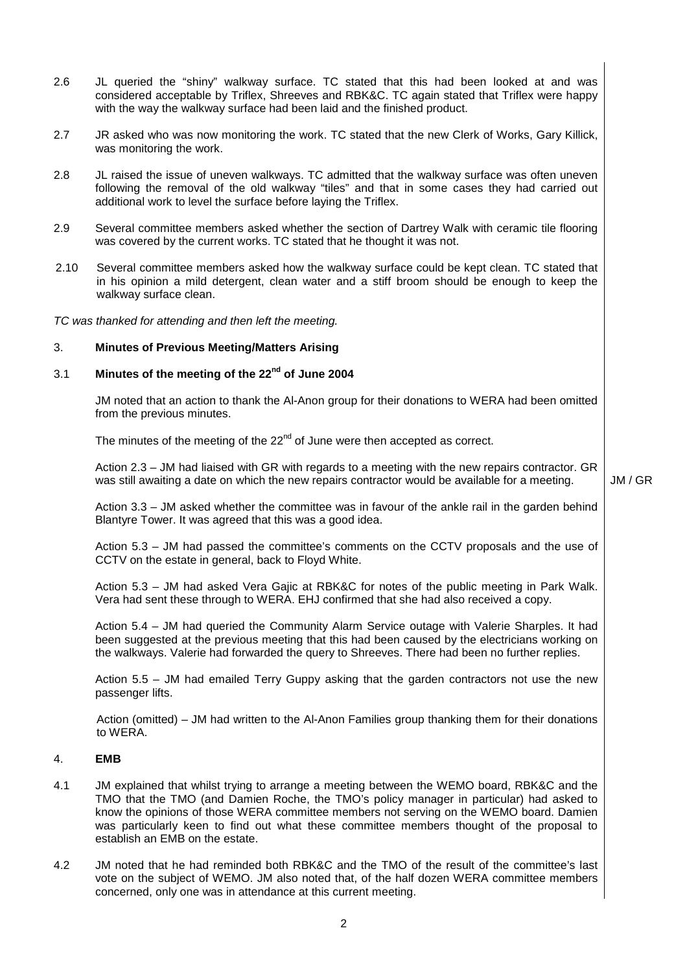2.6 JL queried the "shiny" walkway surface. TC stated that this had been looked at and was considered acceptable by Triflex, Shreeves and RBK&C. TC again stated that Triflex were happy with the way the walkway surface had been laid and the finished product. 2.7 JR asked who was now monitoring the work. TC stated that the new Clerk of Works, Gary Killick, was monitoring the work. 2.8 JL raised the issue of uneven walkways. TC admitted that the walkway surface was often uneven following the removal of the old walkway "tiles" and that in some cases they had carried out additional work to level the surface before laying the Triflex. 2.9 Several committee members asked whether the section of Dartrey Walk with ceramic tile flooring was covered by the current works. TC stated that he thought it was not. 2.10 Several committee members asked how the walkway surface could be kept clean. TC stated that in his opinion a mild detergent, clean water and a stiff broom should be enough to keep the walkway surface clean. TC was thanked for attending and then left the meeting. 3. **Minutes of Previous Meeting/Matters Arising** 3.1 **Minutes of the meeting of the 22 nd of June 2004** JM noted that an action to thank the Al-Anon group for their donations to WERA had been omitted from the previous minutes. The minutes of the meeting of the  $22^{nd}$  of June were then accepted as correct. Action 2.3 – JM had liaised with GR with regards to a meeting with the new repairs contractor. GR was still awaiting a date on which the new repairs contractor would be available for a meeting. Action 3.3 – JM asked whether the committee was in favour of the ankle rail in the garden behind Blantyre Tower. It was agreed that this was a good idea. Action 5.3 – JM had passed the committee's comments on the CCTV proposals and the use of CCTV on the estate in general, back to Floyd White. Action 5.3 – JM had asked Vera Gajic at RBK&C for notes of the public meeting in Park Walk. Vera had sent these through to WERA. EHJ confirmed that she had also received a copy. Action 5.4 – JM had queried the Community Alarm Service outage with Valerie Sharples. It had been suggested at the previous meeting that this had been caused by the electricians working on the walkways. Valerie had forwarded the query to Shreeves. There had been no further replies.

Action 5.5 – JM had emailed Terry Guppy asking that the garden contractors not use the new passenger lifts.

Action (omitted) – JM had written to the Al-Anon Families group thanking them for their donations to WERA.

## 4. **EMB**

- 4.1 JM explained that whilst trying to arrange a meeting between the WEMO board, RBK&C and the TMO that the TMO (and Damien Roche, the TMO's policy manager in particular) had asked to know the opinions of those WERA committee members not serving on the WEMO board. Damien was particularly keen to find out what these committee members thought of the proposal to establish an EMB on the estate.
- 4.2 JM noted that he had reminded both RBK&C and the TMO of the result of the committee's last vote on the subject of WEMO. JM also noted that, of the half dozen WERA committee members concerned, only one was in attendance at this current meeting.

 $\mathfrak{p}$ 

JM / GR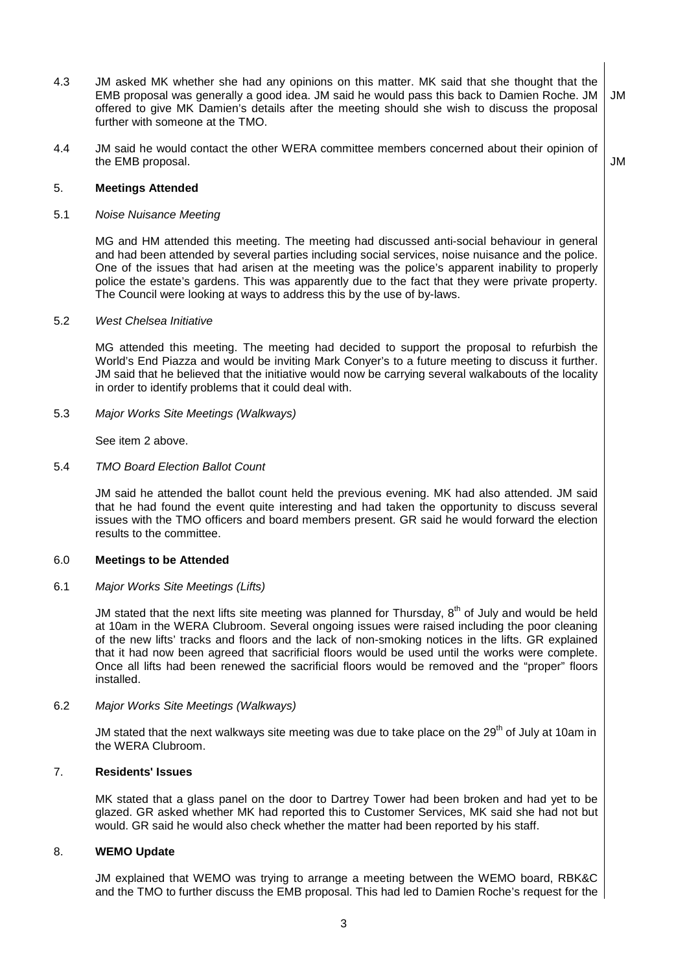- 4.3 JM asked MK whether she had any opinions on this matter. MK said that she thought that the EMB proposal was generally a good idea. JM said he would pass this back to Damien Roche. JM offered to give MK Damien's details after the meeting should she wish to discuss the proposal further with someone at the TMO. JM
- 4.4 JM said he would contact the other WERA committee members concerned about their opinion of the EMB proposal.

JM

#### 5. **Meetings Attended**

#### 5.1 Noise Nuisance Meeting

MG and HM attended this meeting. The meeting had discussed anti-social behaviour in general and had been attended by several parties including social services, noise nuisance and the police. One of the issues that had arisen at the meeting was the police's apparent inability to properly police the estate's gardens. This was apparently due to the fact that they were private property. The Council were looking at ways to address this by the use of by-laws.

#### 5.2 West Chelsea Initiative

MG attended this meeting. The meeting had decided to support the proposal to refurbish the World's End Piazza and would be inviting Mark Conyer's to a future meeting to discuss it further. JM said that he believed that the initiative would now be carrying several walkabouts of the locality in order to identify problems that it could deal with.

5.3 Major Works Site Meetings (Walkways)

See item 2 above.

#### 5.4 TMO Board Election Ballot Count

JM said he attended the ballot count held the previous evening. MK had also attended. JM said that he had found the event quite interesting and had taken the opportunity to discuss several issues with the TMO officers and board members present. GR said he would forward the election results to the committee.

## 6.0 **Meetings to be Attended**

## 6.1 Major Works Site Meetings (Lifts)

JM stated that the next lifts site meeting was planned for Thursday, 8<sup>th</sup> of July and would be held at 10am in the WERA Clubroom. Several ongoing issues were raised including the poor cleaning of the new lifts' tracks and floors and the lack of non-smoking notices in the lifts. GR explained that it had now been agreed that sacrificial floors would be used until the works were complete. Once all lifts had been renewed the sacrificial floors would be removed and the "proper" floors installed.

## 6.2 Major Works Site Meetings (Walkways)

JM stated that the next walkways site meeting was due to take place on the 29<sup>th</sup> of July at 10am in the WERA Clubroom.

# 7. **Residents' Issues**

MK stated that a glass panel on the door to Dartrey Tower had been broken and had yet to be glazed. GR asked whether MK had reported this to Customer Services, MK said she had not but would. GR said he would also check whether the matter had been reported by his staff.

## 8. **WEMO Update**

JM explained that WEMO was trying to arrange a meeting between the WEMO board, RBK&C and the TMO to further discuss the EMB proposal. This had led to Damien Roche's request for the